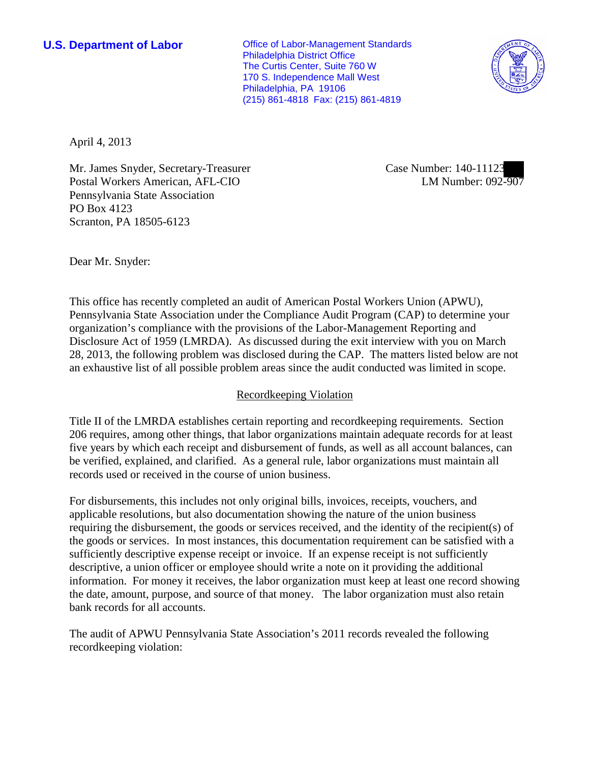**U.S. Department of Labor Office of Labor-Management Standards** Philadelphia District Office The Curtis Center, Suite 760 W 170 S. Independence Mall West Philadelphia, PA 19106 (215) 861-4818 Fax: (215) 861-4819



April 4, 2013

Mr. James Snyder, Secretary-Treasurer Postal Workers American, AFL-CIO Pennsylvania State Association PO Box 4123 Scranton, PA 18505-6123

Case Number: 140-11123 LM Number: 092-907

Dear Mr. Snyder:

This office has recently completed an audit of American Postal Workers Union (APWU), Pennsylvania State Association under the Compliance Audit Program (CAP) to determine your organization's compliance with the provisions of the Labor-Management Reporting and Disclosure Act of 1959 (LMRDA). As discussed during the exit interview with you on March 28, 2013, the following problem was disclosed during the CAP. The matters listed below are not an exhaustive list of all possible problem areas since the audit conducted was limited in scope.

## Recordkeeping Violation

Title II of the LMRDA establishes certain reporting and recordkeeping requirements. Section 206 requires, among other things, that labor organizations maintain adequate records for at least five years by which each receipt and disbursement of funds, as well as all account balances, can be verified, explained, and clarified. As a general rule, labor organizations must maintain all records used or received in the course of union business.

For disbursements, this includes not only original bills, invoices, receipts, vouchers, and applicable resolutions, but also documentation showing the nature of the union business requiring the disbursement, the goods or services received, and the identity of the recipient(s) of the goods or services. In most instances, this documentation requirement can be satisfied with a sufficiently descriptive expense receipt or invoice. If an expense receipt is not sufficiently descriptive, a union officer or employee should write a note on it providing the additional information. For money it receives, the labor organization must keep at least one record showing the date, amount, purpose, and source of that money. The labor organization must also retain bank records for all accounts.

The audit of APWU Pennsylvania State Association's 2011 records revealed the following recordkeeping violation: